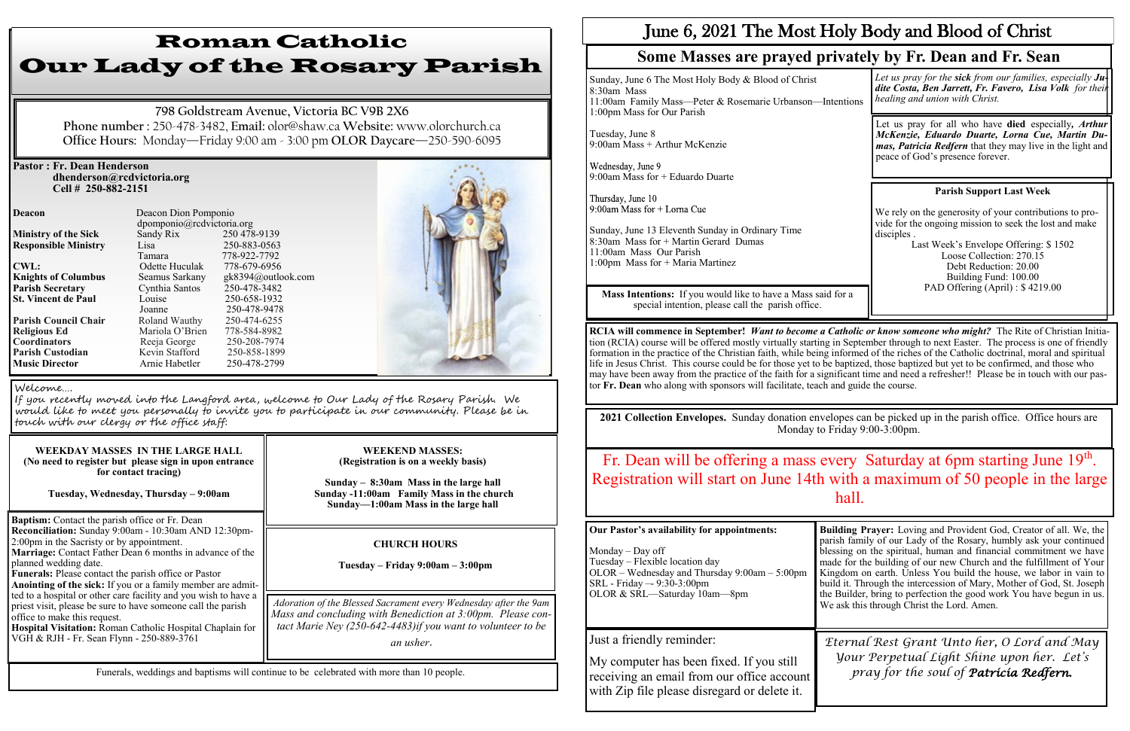## **Pastor : Fr. Dean Henderson dhenderson@rcdvictoria.org Cell # 250-882-2151**

**Responsible Ministry CWL:** Odette Huculak **St. Vincent de Paul** 

**Deacon Deacon Dion Pomponio** dpomponio@rcdvictoria.org<br>Sandy Rix 250 478-9139 **Ministry of the Sick** Sandy Rix 250 478-9139<br> **Responsible Ministry** Lisa 250-883-0563 Tamara 778-922-7792<br>Odette Huculak 778-679-6956 **Knights of Columbus** Seamus Sarkany gk8394@outlook.com **Parish Secretary** Cynthia Santos 250-478-3482<br> **St. Vincent de Paul** Louise 250-658-1932 Joanne 250-478-9478<br>Roland Wauthy 250-474-6255 **Parish Council Chair Roland Wauthy 250-474-6255**<br> **Religious Ed Mariola O'Brien** 778-584-8982 **Religious Ed Mariola O'Brien 778-584-8982<br>
<b>Coordinators** Reeia George 250-208-7974 **Reeja George** 250-208-7974<br> **Kevin Stafford** 250-858-1899

**Music Director Arnie Habetler** 250-478-2799



**Baptism:** Contact the parish office or Fr. Dean **Reconciliation:** Sunday 9:00am - 10:30am AND 12:30pm-2:00pm in the Sacristy or by appointment.

**Marriage:** Contact Father Dean 6 months in advance of the planned wedding date.

**Funerals:** Please contact the parish office or Pastor

**Anointing of the sick:** If you or a family member are admitted to a hospital or other care facility and you wish to have a priest visit, please be sure to have someone call the parish office to make this request.

**Hospital Visitation:** Roman Catholic Hospital Chaplain for VGH & RJH - Fr. Sean Flynn - 250-889-3761

# Roman Catholic Our Lady of the Rosary Parish

Wednesday, June 9 9:00am Mass for + Eduardo Duarte

Thursday, June 10 9:00am Mass for  $+$  Lorna Cue

**798 Goldstream Avenue, Victoria BC V9B 2X6 Phone number :** 250-478-3482, **Email:** olor@shaw.ca **Website:** www.olorchurch.ca **Office Hours:** Monday—Friday 9:00 am - 3:00 pm **OLOR Daycare**—250-590-6095

## **WEEKDAY MASSES IN THE LARGE HALL (No need to register but please sign in upon entrance for contact tracing) Tuesday, Wednesday, Thursday – 9:00am**

### **WEEKEND MASSES: (Registration is on a weekly basis)**

**Sunday – 8:30am Mass in the large hall Sunday -11:00am Family Mass in the church Sunday—1:00am Mass in the large hall**

Funerals, weddings and baptisms will continue to be celebrated with more than 10 people.

## Welcome….

**Parish Custodian** 

If you recently moved into the Langford area, welcome to Our Lady of the Rosary Parish. We would like to meet you personally to invite you to participate in our community. Please be in touch with our clergy or the office staff:

## **CHURCH HOURS**

**Tuesday – Friday 9:00am – 3:00pm**

## Fr. Dean will be offering a mass every Saturday at 6pm starting June  $19<sup>th</sup>$ . Registration will start on June 14th with a maximum of 50 people in the large hall.

*Adoration of the Blessed Sacrament every Wednesday after the 9am Mass and concluding with Benediction at 3:00pm. Please contact Marie Ney (250-642-4483)if you want to volunteer to be* 

*an usher*.

Sunday, June 6 The Most Holy Body & Blood of Christ 8:30am Mass 11:00am Family Mass—Peter & Rosemarie Urbanson—Int 1:00pm Mass for Our Parish

Tuesday, June 8 9:00am Mass + Arthur McKenzie

# June 6, 2021 The Most Holy Body and Blood of Christ **Some Masses are prayed privately by Fr. Dean and Fr. Sean**

Sunday, June 13 Eleventh Sunday in Ordinary Time 8:30am Mass for + Martin Gerard Dumas 11:00am Mass Our Parish 1:00pm Mass for + Maria Martinez

**Mass Intentions:** If you would like to have a Mass said special intention, please call the parish office.

**RCIA will commence in September!** *Want to become a Catholic or know someone who might?* The Rite of Christian Initiation (RCIA) course will be offered mostly virtually starting in September through to next Easter. The process is one of friendly formation in the practice of the Christian faith, while being informed of the riches of the Catholic doctrinal, moral and spiritual life in Jesus Christ. This course could be for those yet to be baptized, those baptized but yet to be confirmed, and those who may have been away from the practice of the faith for a significant time and need a refresher!! Please be in touch with our pastor **Fr. Dean** who along with sponsors will facilitate, teach and guide the course.

| tentions | Let us pray for the sick from our families, especially $J\mu$<br>dite Costa, Ben Jarrett, Fr. Favero, Lisa Volk for their<br>healing and union with Christ.                                                                   |
|----------|-------------------------------------------------------------------------------------------------------------------------------------------------------------------------------------------------------------------------------|
|          | Let us pray for all who have <b>died</b> especially, <i>Arthur</i><br>McKenzie, Eduardo Duarte, Lorna Cue, Martin Du-<br><i>mas, Patricia Redfern</i> that they may live in the light and<br>peace of God's presence forever. |
|          |                                                                                                                                                                                                                               |
|          | <b>Parish Support Last Week</b>                                                                                                                                                                                               |
|          | We rely on the generosity of your contributions to pro-<br>vide for the ongoing mission to seek the lost and make<br>disciples.<br>Last Week's Envelope Offering: \$1502                                                      |
|          | Loose Collection: 270.15                                                                                                                                                                                                      |
|          | Debt Reduction: 20.00                                                                                                                                                                                                         |
|          | Building Fund: 100.00                                                                                                                                                                                                         |
| l for a  | PAD Offering (April) : \$4219.00                                                                                                                                                                                              |
|          |                                                                                                                                                                                                                               |

**2021 Collection Envelopes.** Sunday donation envelopes can be picked up in the parish office. Office hours are Monday to Friday 9:00-3:00pm.

## **Our Pastor's availability for appointments:**

Monday – Day off Tuesday – Flexible location day OLOR – Wednesday and Thursday 9:00am – 5:00pm SRL - Friday –- 9:30-3:00pm OLOR & SRL—Saturday 10am—8pm **Building Prayer:** Loving and Provident God, Creator of all. We, the parish family of our Lady of the Rosary, humbly ask your continued blessing on the spiritual, human and financial commitment we have made for the building of our new Church and the fulfillment of Your Kingdom on earth. Unless You build the house, we labor in vain to build it. Through the intercession of Mary, Mother of God, St. Joseph the Builder, bring to perfection the good work You have begun in us. We ask this through Christ the Lord. Amen.

Just a friendly reminder:

My computer has been fixed. If you still receiving an email from our office account with Zip file please disregard or delete it.

*Eternal Rest Grant Unto her, O Lord and May Your Perpetual Light Shine upon her. Let's pray for the soul of Patricia Redfern.*